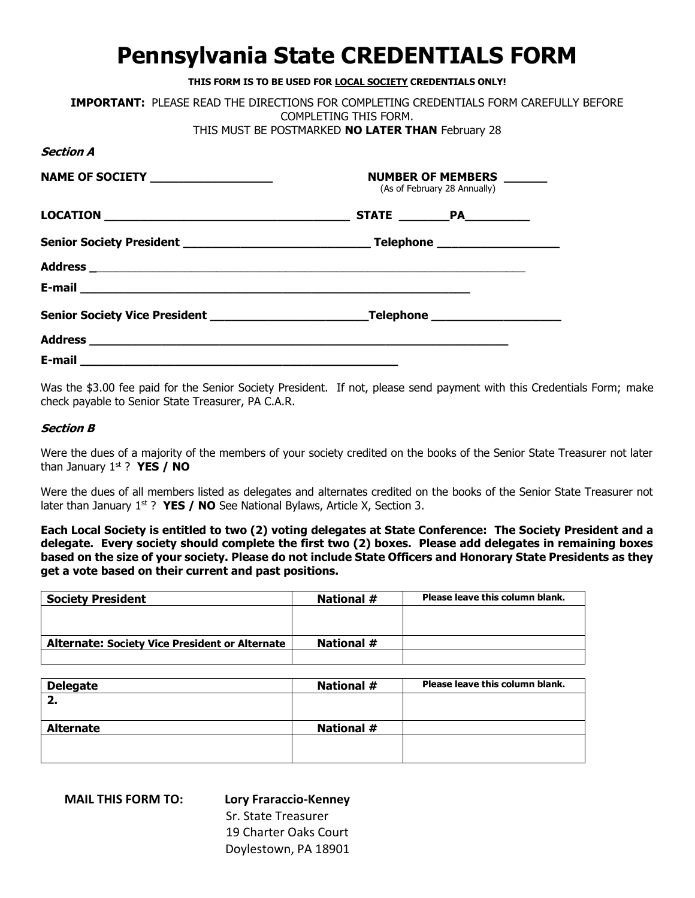## **Pennsylvania State CREDENTIALS FORM**

| THIS FORM IS TO BE USED FOR LOCAL SOCIETY CREDENTIALS ONLY!                                                                                        |                       |                                                          |  |
|----------------------------------------------------------------------------------------------------------------------------------------------------|-----------------------|----------------------------------------------------------|--|
| <b>IMPORTANT: PLEASE READ THE DIRECTIONS FOR COMPLETING CREDENTIALS FORM CAREFULLY BEFORE</b><br>THIS MUST BE POSTMARKED NO LATER THAN February 28 | COMPLETING THIS FORM. |                                                          |  |
| <b>Section A</b>                                                                                                                                   |                       |                                                          |  |
| <b>NAME OF SOCIETY</b> ___________________                                                                                                         |                       | NUMBER OF MEMBERS ______<br>(As of February 28 Annually) |  |
|                                                                                                                                                    |                       |                                                          |  |
|                                                                                                                                                    |                       |                                                          |  |
|                                                                                                                                                    |                       |                                                          |  |
|                                                                                                                                                    |                       |                                                          |  |
|                                                                                                                                                    |                       |                                                          |  |
|                                                                                                                                                    |                       |                                                          |  |
|                                                                                                                                                    |                       |                                                          |  |

Was the \$3.00 fee paid for the Senior Society President. If not, please send payment with this Credentials Form; make check payable to Senior State Treasurer, PA C.A.R.

## **Section B**

Were the dues of a majority of the members of your society credited on the books of the Senior State Treasurer not later than January 1st ? **YES / NO**

Were the dues of all members listed as delegates and alternates credited on the books of the Senior State Treasurer not later than January 1<sup>st</sup> ? **YES / NO** See National Bylaws, Article X, Section 3.

**Each Local Society is entitled to two (2) voting delegates at State Conference: The Society President and a delegate. Every society should complete the first two (2) boxes. Please add delegates in remaining boxes based on the size of your society. Please do not include State Officers and Honorary State Presidents as they get a vote based on their current and past positions.** 

| <b>Society President</b>                              | National # | Please leave this column blank. |
|-------------------------------------------------------|------------|---------------------------------|
|                                                       |            |                                 |
|                                                       |            |                                 |
| <b>Alternate: Society Vice President or Alternate</b> | National # |                                 |
|                                                       |            |                                 |

| <b>Delegate</b>  | <b>National #</b> | Please leave this column blank. |
|------------------|-------------------|---------------------------------|
| 2.               |                   |                                 |
|                  |                   |                                 |
| <b>Alternate</b> | <b>National #</b> |                                 |
|                  |                   |                                 |
|                  |                   |                                 |

**MAIL THIS FORM TO: Lory Fraraccio-Kenney**

 Sr. State Treasurer 19 Charter Oaks Court Doylestown, PA 18901